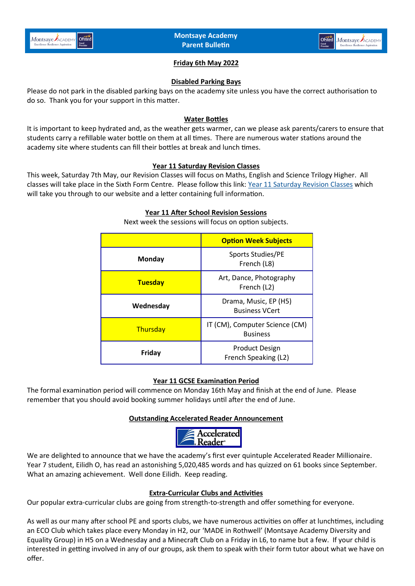



### **Friday 6th May 2022**

### **Disabled Parking Bays**

Please do not park in the disabled parking bays on the academy site unless you have the correct authorisation to do so. Thank you for your support in this matter.

#### **Water Bottles**

It is important to keep hydrated and, as the weather gets warmer, can we please ask parents/carers to ensure that students carry a refillable water bottle on them at all times. There are numerous water stations around the academy site where students can fill their bottles at break and lunch times.

#### **Year 11 Saturday Revision Classes**

This week, Saturday 7th May, our Revision Classes will focus on Maths, English and Science Trilogy Higher. All classes will take place in the Sixth Form Centre. Please follow this link: [Year 11 Saturday Revision Classes](https://www.montsaye.northants.sch.uk/assets/Documents/Newsletters/Year-11-Saturday-Revision-Sessions.pdf) which will take you through to our website and a letter containing full information.

#### **Year 11 After School Revision Sessions**

|                | <b>Option Week Subjects</b>                       |
|----------------|---------------------------------------------------|
| <b>Monday</b>  | Sports Studies/PE<br>French (L8)                  |
| <b>Tuesday</b> | Art, Dance, Photography<br>French (L2)            |
| Wednesday      | Drama, Music, EP (H5)<br><b>Business VCert</b>    |
| Thursday       | IT (CM), Computer Science (CM)<br><b>Business</b> |
| Friday         | <b>Product Design</b><br>French Speaking (L2)     |

Next week the sessions will focus on option subjects.

### **Year 11 GCSE Examination Period**

The formal examination period will commence on Monday 16th May and finish at the end of June. Please remember that you should avoid booking summer holidays until after the end of June.

#### **Outstanding Accelerated Reader Announcement**



We are delighted to announce that we have the academy's first ever quintuple Accelerated Reader Millionaire. Year 7 student, Eilidh O, has read an astonishing 5,020,485 words and has quizzed on 61 books since September. What an amazing achievement. Well done Eilidh. Keep reading.

#### **Extra-Curricular Clubs and Activities**

Our popular extra-curricular clubs are going from strength-to-strength and offer something for everyone.

As well as our many after school PE and sports clubs, we have numerous activities on offer at lunchtimes, including an ECO Club which takes place every Monday in H2, our 'MADE in Rothwell' (Montsaye Academy Diversity and Equality Group) in H5 on a Wednesday and a Minecraft Club on a Friday in L6, to name but a few. If your child is interested in getting involved in any of our groups, ask them to speak with their form tutor about what we have on offer.